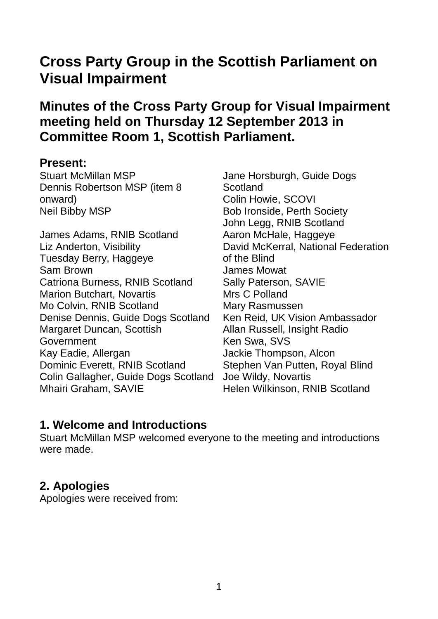# **Cross Party Group in the Scottish Parliament on Visual Impairment**

# **Minutes of the Cross Party Group for Visual Impairment meeting held on Thursday 12 September 2013 in Committee Room 1, Scottish Parliament.**

#### **Present:**

Stuart McMillan MSP Dennis Robertson MSP (item 8 onward) Neil Bibby MSP

James Adams, RNIB Scotland Liz Anderton, Visibility Tuesday Berry, Haggeye Sam Brown Catriona Burness, RNIB Scotland Marion Butchart, Novartis Mo Colvin, RNIB Scotland Denise Dennis, Guide Dogs Scotland Margaret Duncan, Scottish Government Kay Eadie, Allergan Dominic Everett, RNIB Scotland Colin Gallagher, Guide Dogs Scotland Mhairi Graham, SAVIE

Jane Horsburgh, Guide Dogs **Scotland** Colin Howie, SCOVI Bob Ironside, Perth Society John Legg, RNIB Scotland Aaron McHale, Haggeye David McKerral, National Federation of the Blind James Mowat Sally Paterson, SAVIE Mrs C Polland Mary Rasmussen Ken Reid, UK Vision Ambassador Allan Russell, Insight Radio Ken Swa, SVS Jackie Thompson, Alcon Stephen Van Putten, Royal Blind Joe Wildy, Novartis Helen Wilkinson, RNIB Scotland

### **1. Welcome and Introductions**

Stuart McMillan MSP welcomed everyone to the meeting and introductions were made.

### **2. Apologies**

Apologies were received from: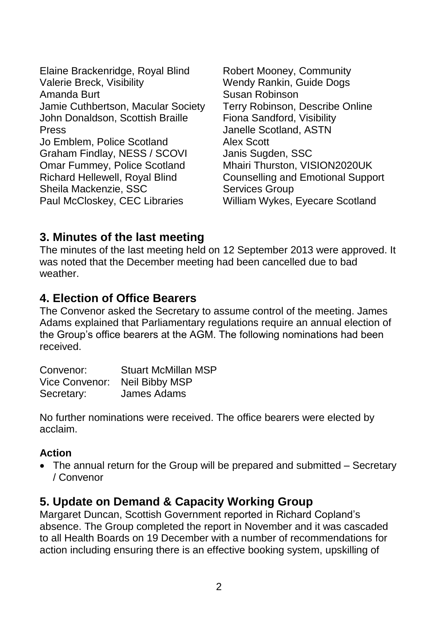Elaine Brackenridge, Royal Blind Valerie Breck, Visibility Amanda Burt Jamie Cuthbertson, Macular Society John Donaldson, Scottish Braille Press Jo Emblem, Police Scotland Graham Findlay, NESS / SCOVI Omar Fummey, Police Scotland Richard Hellewell, Royal Blind Sheila Mackenzie, SSC Paul McCloskey, CEC Libraries

Robert Mooney, Community Wendy Rankin, Guide Dogs Susan Robinson Terry Robinson, Describe Online Fiona Sandford, Visibility Janelle Scotland, ASTN Alex Scott Janis Sugden, SSC Mhairi Thurston, VISION2020UK Counselling and Emotional Support Services Group William Wykes, Eyecare Scotland

### **3. Minutes of the last meeting**

The minutes of the last meeting held on 12 September 2013 were approved. It was noted that the December meeting had been cancelled due to bad weather.

#### **4. Election of Office Bearers**

The Convenor asked the Secretary to assume control of the meeting. James Adams explained that Parliamentary regulations require an annual election of the Group's office bearers at the AGM. The following nominations had been received.

| Convenor:  | <b>Stuart McMillan MSP</b>    |
|------------|-------------------------------|
|            | Vice Convenor: Neil Bibby MSP |
| Secretary: | James Adams                   |

No further nominations were received. The office bearers were elected by acclaim.

#### **Action**

• The annual return for the Group will be prepared and submitted – Secretary / Convenor

#### **5. Update on Demand & Capacity Working Group**

Margaret Duncan, Scottish Government reported in Richard Copland's absence. The Group completed the report in November and it was cascaded to all Health Boards on 19 December with a number of recommendations for action including ensuring there is an effective booking system, upskilling of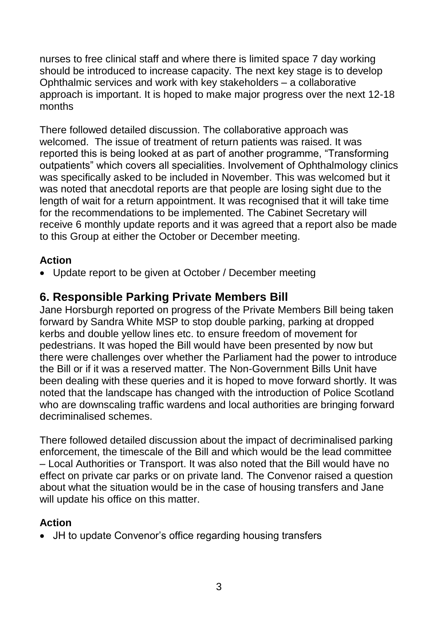nurses to free clinical staff and where there is limited space 7 day working should be introduced to increase capacity. The next key stage is to develop Ophthalmic services and work with key stakeholders – a collaborative approach is important. It is hoped to make major progress over the next 12-18 months

There followed detailed discussion. The collaborative approach was welcomed. The issue of treatment of return patients was raised. It was reported this is being looked at as part of another programme, "Transforming outpatients" which covers all specialities. Involvement of Ophthalmology clinics was specifically asked to be included in November. This was welcomed but it was noted that anecdotal reports are that people are losing sight due to the length of wait for a return appointment. It was recognised that it will take time for the recommendations to be implemented. The Cabinet Secretary will receive 6 monthly update reports and it was agreed that a report also be made to this Group at either the October or December meeting.

#### **Action**

• Update report to be given at October / December meeting

### **6. Responsible Parking Private Members Bill**

Jane Horsburgh reported on progress of the Private Members Bill being taken forward by Sandra White MSP to stop double parking, parking at dropped kerbs and double yellow lines etc. to ensure freedom of movement for pedestrians. It was hoped the Bill would have been presented by now but there were challenges over whether the Parliament had the power to introduce the Bill or if it was a reserved matter. The Non-Government Bills Unit have been dealing with these queries and it is hoped to move forward shortly. It was noted that the landscape has changed with the introduction of Police Scotland who are downscaling traffic wardens and local authorities are bringing forward decriminalised schemes.

There followed detailed discussion about the impact of decriminalised parking enforcement, the timescale of the Bill and which would be the lead committee – Local Authorities or Transport. It was also noted that the Bill would have no effect on private car parks or on private land. The Convenor raised a question about what the situation would be in the case of housing transfers and Jane will update his office on this matter.

#### **Action**

JH to update Convenor's office regarding housing transfers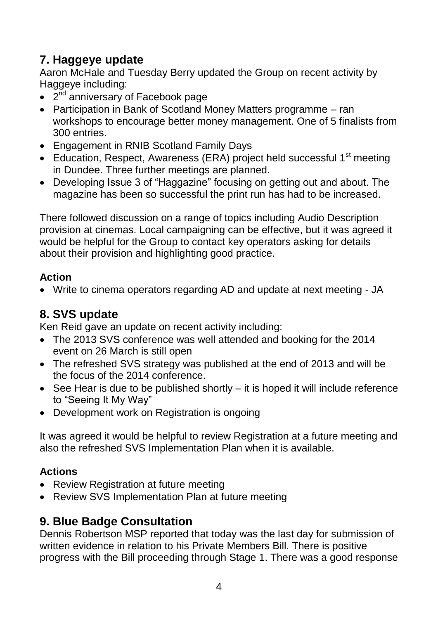# **7. Haggeye update**

Aaron McHale and Tuesday Berry updated the Group on recent activity by Haggeye including:

- 2<sup>nd</sup> anniversary of Facebook page
- Participation in Bank of Scotland Money Matters programme ran workshops to encourage better money management. One of 5 finalists from 300 entries.
- Engagement in RNIB Scotland Family Days
- Education, Respect, Awareness (ERA) project held successful 1<sup>st</sup> meeting in Dundee. Three further meetings are planned.
- Developing Issue 3 of "Haggazine" focusing on getting out and about. The magazine has been so successful the print run has had to be increased.

There followed discussion on a range of topics including Audio Description provision at cinemas. Local campaigning can be effective, but it was agreed it would be helpful for the Group to contact key operators asking for details about their provision and highlighting good practice.

### **Action**

Write to cinema operators regarding AD and update at next meeting - JA

# **8. SVS update**

Ken Reid gave an update on recent activity including:

- The 2013 SVS conference was well attended and booking for the 2014 event on 26 March is still open
- The refreshed SVS strategy was published at the end of 2013 and will be the focus of the 2014 conference.
- See Hear is due to be published shortly it is hoped it will include reference to "Seeing It My Way"
- Development work on Registration is ongoing

It was agreed it would be helpful to review Registration at a future meeting and also the refreshed SVS Implementation Plan when it is available.

### **Actions**

- Review Registration at future meeting
- Review SVS Implementation Plan at future meeting

# **9. Blue Badge Consultation**

Dennis Robertson MSP reported that today was the last day for submission of written evidence in relation to his Private Members Bill. There is positive progress with the Bill proceeding through Stage 1. There was a good response